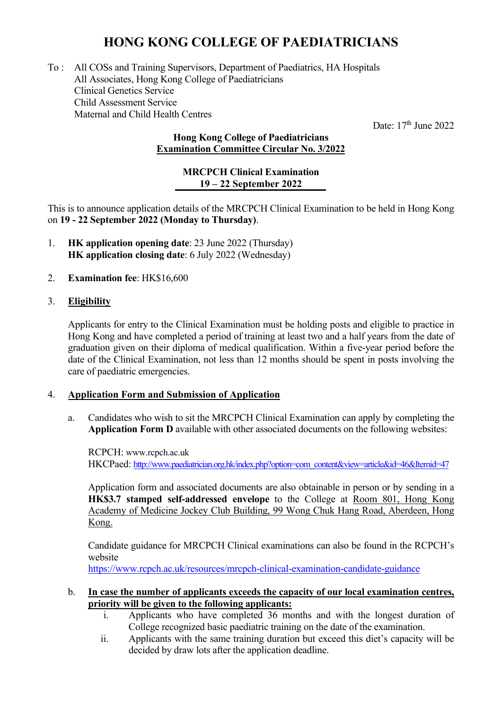# **HONG KONG COLLEGE OF PAEDIATRICIANS**

To : All COSs and Training Supervisors, Department of Paediatrics, HA Hospitals All Associates, Hong Kong College of Paediatricians Clinical Genetics Service Child Assessment Service Maternal and Child Health Centres

Date:  $17<sup>th</sup>$  June 2022

## **Hong Kong College of Paediatricians Examination Committee Circular No. 3/2022**

#### **MRCPCH Clinical Examination 19 – 22 September 2022**

This is to announce application details of the MRCPCH Clinical Examination to be held in Hong Kong on **19 - 22 September 2022 (Monday to Thursday)**.

- 1. **HK application opening date**: 23 June 2022 (Thursday) **HK application closing date**: 6 July 2022 (Wednesday)
- 2. **Examination fee**: HK\$16,600

## 3. **Eligibility**

Applicants for entry to the Clinical Examination must be holding posts and eligible to practice in Hong Kong and have completed a period of training at least two and a half years from the date of graduation given on their diploma of medical qualification. Within a five-year period before the date of the Clinical Examination, not less than 12 months should be spent in posts involving the care of paediatric emergencies.

### 4. **Application Form and Submission of Application**

a. Candidates who wish to sit the MRCPCH Clinical Examination can apply by completing the **Application Form D** available with other associated documents on the following websites:

RCPCH: www.rcpch.ac.uk HKCPaed: [http://www.paediatrician.org.hk/index.php?option=com\\_content&view=article&id=46&Itemid=47](http://www.paediatrician.org.hk/index.php?option=com_content&view=article&id=46&Itemid=47)

Application form and associated documents are also obtainable in person or by sending in a **HK\$3.7 stamped self-addressed envelope** to the College at Room 801, Hong Kong Academy of Medicine Jockey Club Building, 99 Wong Chuk Hang Road, Aberdeen, Hong Kong.

Candidate guidance for MRCPCH Clinical examinations can also be found in the RCPCH's website

<https://www.rcpch.ac.uk/resources/mrcpch-clinical-examination-candidate-guidance>

### b. **In case the number of applicants exceeds the capacity of our local examination centres, priority will be given to the following applicants:**

- i. Applicants who have completed 36 months and with the longest duration of College recognized basic paediatric training on the date of the examination.
- ii. Applicants with the same training duration but exceed this diet's capacity will be decided by draw lots after the application deadline.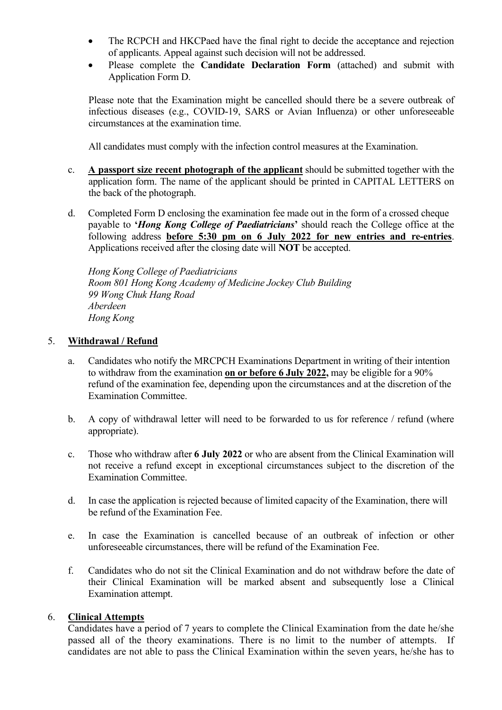- The RCPCH and HKCPaed have the final right to decide the acceptance and rejection of applicants. Appeal against such decision will not be addressed.
- Please complete the **Candidate Declaration Form** (attached) and submit with Application Form D.

Please note that the Examination might be cancelled should there be a severe outbreak of infectious diseases (e.g., COVID-19, SARS or Avian Influenza) or other unforeseeable circumstances at the examination time.

All candidates must comply with the infection control measures at the Examination.

- c. **A passport size recent photograph of the applicant** should be submitted together with the application form. The name of the applicant should be printed in CAPITAL LETTERS on the back of the photograph.
- d. Completed Form D enclosing the examination fee made out in the form of a crossed cheque payable to **'***Hong Kong College of Paediatricians***'** should reach the College office at the following address **before 5:30 pm on 6 July 2022 for new entries and re-entries**. Applications received after the closing date will **NOT** be accepted.

*Hong Kong College of Paediatricians Room 801 Hong Kong Academy of Medicine Jockey Club Building 99 Wong Chuk Hang Road Aberdeen Hong Kong*

### 5. **Withdrawal / Refund**

- a. Candidates who notify the MRCPCH Examinations Department in writing of their intention to withdraw from the examination **on or before 6 July 2022,** may be eligible for a 90% refund of the examination fee, depending upon the circumstances and at the discretion of the Examination Committee.
- b. A copy of withdrawal letter will need to be forwarded to us for reference / refund (where appropriate).
- c. Those who withdraw after **6 July 2022** or who are absent from the Clinical Examination will not receive a refund except in exceptional circumstances subject to the discretion of the Examination Committee.
- d. In case the application is rejected because of limited capacity of the Examination, there will be refund of the Examination Fee.
- e. In case the Examination is cancelled because of an outbreak of infection or other unforeseeable circumstances, there will be refund of the Examination Fee.
- f. Candidates who do not sit the Clinical Examination and do not withdraw before the date of their Clinical Examination will be marked absent and subsequently lose a Clinical Examination attempt.

## 6. **Clinical Attempts**

Candidates have a period of 7 years to complete the Clinical Examination from the date he/she passed all of the theory examinations. There is no limit to the number of attempts. If candidates are not able to pass the Clinical Examination within the seven years, he/she has to